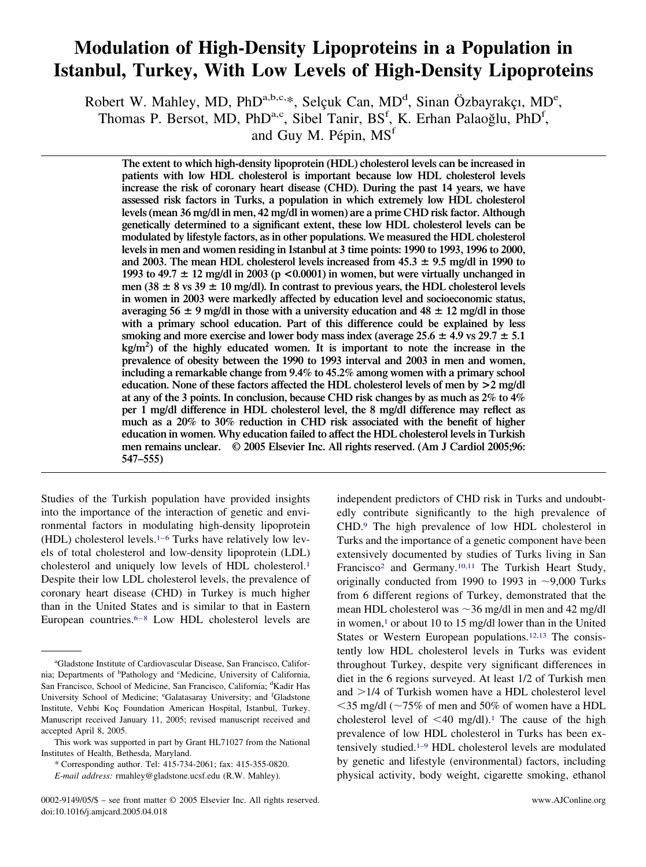## **Modulation of High-Density Lipoproteins in a Population in Istanbul, Turkey, With Low Levels of High-Density Lipoproteins**

Robert W. Mahley, MD, PhD<sup>a,b,c,\*</sup>, Selçuk Can, MD<sup>d</sup>, Sinan Özbayrakçı, MD<sup>e</sup>, Thomas P. Bersot, MD, PhD<sup>a,c</sup>, Sibel Tanir, BS<sup>f</sup>, K. Erhan Palaoğlu, PhD<sup>f</sup>,

and Guy M. Pépin, MS<sup>f</sup>

**The extent to which high-density lipoprotein (HDL) cholesterol levels can be increased in patients with low HDL cholesterol is important because low HDL cholesterol levels increase the risk of coronary heart disease (CHD). During the past 14 years, we have assessed risk factors in Turks, a population in which extremely low HDL cholesterol levels (mean 36 mg/dl in men, 42 mg/dl in women) are a prime CHD risk factor. Although genetically determined to a significant extent, these low HDL cholesterol levels can be modulated by lifestyle factors, as in other populations. We measured the HDL cholesterol levels in men and women residing in Istanbul at 3 time points: 1990 to 1993, 1996 to 2000,** and 2003. The mean HDL cholesterol levels increased from  $45.3 \pm 9.5$  mg/dl in 1990 to **1993 to 49.7 12 mg/dl in 2003 (p <0.0001) in women, but were virtually unchanged in** men (38  $\pm$  8 vs 39  $\pm$  10 mg/dl). In contrast to previous years, the HDL cholesterol levels **in women in 2003 were markedly affected by education level and socioeconomic status,** averaging 56  $\pm$  9 mg/dl in those with a university education and 48  $\pm$  12 mg/dl in those **with a primary school education. Part of this difference could be explained by less** smoking and more exercise and lower body mass index (average  $25.6 \pm 4.9$  vs  $29.7 \pm 5.1$ **kg/m2 ) of the highly educated women. It is important to note the increase in the prevalence of obesity between the 1990 to 1993 interval and 2003 in men and women, including a remarkable change from 9.4% to 45.2% among women with a primary school education. None of these factors affected the HDL cholesterol levels of men by >2 mg/dl at any of the 3 points. In conclusion, because CHD risk changes by as much as 2% to 4% per 1 mg/dl difference in HDL cholesterol level, the 8 mg/dl difference may reflect as much as a 20% to 30% reduction in CHD risk associated with the benefit of higher education in women. Why education failed to affect the HDL cholesterol levels in Turkish men remains unclear. © 2005 Elsevier Inc. All rights reserved. (Am J Cardiol 2005;96: 547–555)**

Studies of the Turkish population have provided insights into the importance of the interaction of genetic and environmental factors in modulating high-density lipoprotein (HDL) cholesterol levels[.1–6](#page-7-0) Turks have relatively low levels of total cholesterol and low-density lipoprotein (LDL) cholesterol and uniquely low levels of HDL cholesterol[.1](#page-7-0) Despite their low LDL cholesterol levels, the prevalence of coronary heart disease (CHD) in Turkey is much higher than in the United States and is similar to that in Eastern European countries[.6–8](#page-7-0) Low HDL cholesterol levels are

independent predictors of CHD risk in Turks and undoubtedly contribute significantly to the high prevalence of CHD[.9](#page-7-0) The high prevalence of low HDL cholesterol in Turks and the importance of a genetic component have been extensively documented by studies of Turks living in San Francisco<sup>2</sup> and Germany.<sup>10,11</sup> The Turkish Heart Study, originally conducted from 1990 to 1993 in  $\sim$ 9,000 Turks from 6 different regions of Turkey, demonstrated that the mean HDL cholesterol was  $\sim$ 36 mg/dl in men and 42 mg/dl in women,<sup>1</sup> or about 10 to 15 mg/dl lower than in the United States or Western European populations[.12,13](#page-7-0) The consistently low HDL cholesterol levels in Turks was evident throughout Turkey, despite very significant differences in diet in the 6 regions surveyed. At least 1/2 of Turkish men and >1/4 of Turkish women have a HDL cholesterol level  $\leq$ 35 mg/dl ( $\sim$ 75% of men and 50% of women have a HDL cholesterol level of  $\leq 40$  mg/dl).<sup>1</sup> The cause of the high prevalence of low HDL cholesterol in Turks has been extensively studied[.1–9](#page-7-0) HDL cholesterol levels are modulated by genetic and lifestyle (environmental) factors, including physical activity, body weight, cigarette smoking, ethanol

a Gladstone Institute of Cardiovascular Disease, San Francisco, California; Departments of <sup>b</sup>Pathology and <sup>c</sup>Medicine, University of California, San Francisco, School of Medicine, San Francisco, California; <sup>d</sup>Kadir Has University School of Medicine; <sup>e</sup>Galatasaray University; and <sup>f</sup>Gladstone Institute, Vehbi Koç Foundation American Hospital, Istanbul, Turkey. Manuscript received January 11, 2005; revised manuscript received and accepted April 8, 2005.

This work was supported in part by Grant HL71027 from the National Institutes of Health, Bethesda, Maryland.

<sup>\*</sup> Corresponding author. Tel: 415-734-2061; fax: 415-355-0820.

*E-mail address:* rmahley@gladstone.ucsf.edu (R.W. Mahley).

<sup>0002-9149/05/\$ –</sup> see front matter © 2005 Elsevier Inc. All rights reserved. www.AJConline.org doi:10.1016/j.amjcard.2005.04.018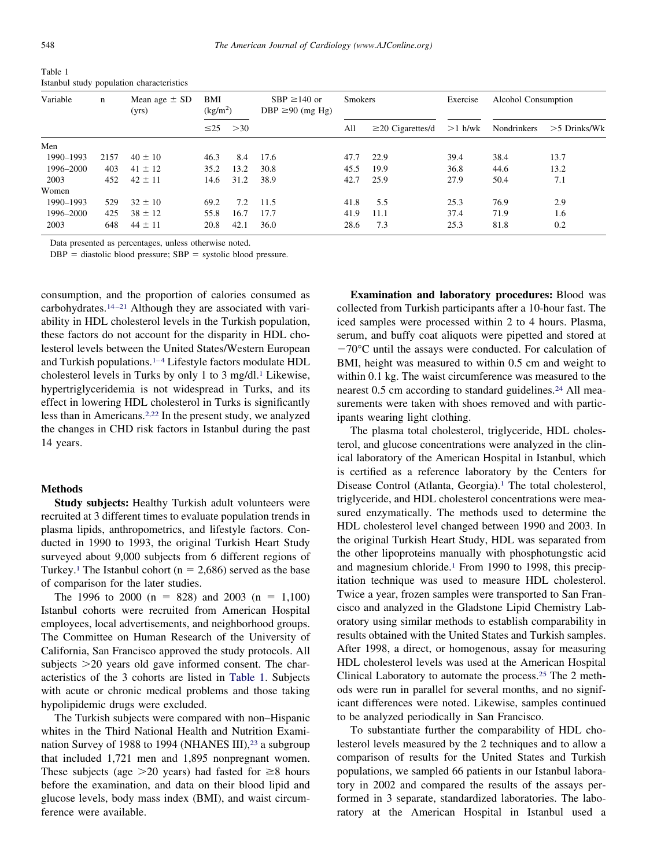| Variable  | n    | Mean age $\pm$ SD<br>(yrs) | BMI<br>(kg/m <sup>2</sup> ) |      | $SBP \ge 140$ or<br>DBP $\geq$ 90 (mg Hg) | <b>Smokers</b> |                        | Alcohol Consumption<br>Exercise |             |                |
|-----------|------|----------------------------|-----------------------------|------|-------------------------------------------|----------------|------------------------|---------------------------------|-------------|----------------|
|           |      |                            | $\leq$ 25                   | >30  |                                           | All            | $\geq$ 20 Cigarettes/d | $>1$ h/wk                       | Nondrinkers | $>5$ Drinks/Wk |
| Men       |      |                            |                             |      |                                           |                |                        |                                 |             |                |
| 1990-1993 | 2157 | $40 \pm 10$                | 46.3                        | 8.4  | 17.6                                      | 47.7           | 22.9                   | 39.4                            | 38.4        | 13.7           |
| 1996–2000 | 403  | $41 \pm 12$                | 35.2                        | 13.2 | 30.8                                      | 45.5           | 19.9                   | 36.8                            | 44.6        | 13.2           |
| 2003      | 452  | $42 \pm 11$                | 14.6                        | 31.2 | 38.9                                      | 42.7           | 25.9                   | 27.9                            | 50.4        | 7.1            |
| Women     |      |                            |                             |      |                                           |                |                        |                                 |             |                |
| 1990-1993 | 529  | $32 \pm 10$                | 69.2                        | 7.2  | 11.5                                      | 41.8           | 5.5                    | 25.3                            | 76.9        | 2.9            |
| 1996–2000 | 425  | $38 \pm 12$                | 55.8                        | 16.7 | 17.7                                      | 41.9           | 11.1                   | 37.4                            | 71.9        | 1.6            |
| 2003      | 648  | $44 \pm 11$                | 20.8                        | 42.1 | 36.0                                      | 28.6           | 7.3                    | 25.3                            | 81.8        | 0.2            |

<span id="page-1-0"></span>Table 1 Istanbul study population characteristics

Data presented as percentages, unless otherwise noted.

 $DBP =$  diastolic blood pressure;  $SBP =$  systolic blood pressure.

consumption, and the proportion of calories consumed as carbohydrates[.14–21](#page-7-0) Although they are associated with variability in HDL cholesterol levels in the Turkish population, these factors do not account for the disparity in HDL cholesterol levels between the United States/Western European and Turkish populations[.1–4](#page-7-0) Lifestyle factors modulate HDL cholesterol levels in Turks by only 1 to 3 mg/dl.<sup>1</sup> Likewise, hypertriglyceridemia is not widespread in Turks, and its effect in lowering HDL cholesterol in Turks is significantly less than in Americans[.2,22](#page-7-0) In the present study, we analyzed the changes in CHD risk factors in Istanbul during the past 14 years.

## **Methods**

**Study subjects:** Healthy Turkish adult volunteers were recruited at 3 different times to evaluate population trends in plasma lipids, anthropometrics, and lifestyle factors. Conducted in 1990 to 1993, the original Turkish Heart Study surveyed about 9,000 subjects from 6 different regions of Turkey.<sup>1</sup> The Istanbul cohort ( $n = 2,686$ ) served as the base of comparison for the later studies.

The 1996 to 2000 (n = 828) and 2003 (n = 1,100) Istanbul cohorts were recruited from American Hospital employees, local advertisements, and neighborhood groups. The Committee on Human Research of the University of California, San Francisco approved the study protocols. All subjects  $>$  20 years old gave informed consent. The characteristics of the 3 cohorts are listed in Table 1. Subjects with acute or chronic medical problems and those taking hypolipidemic drugs were excluded.

The Turkish subjects were compared with non–Hispanic whites in the Third National Health and Nutrition Examination Survey of 1988 to 1994 (NHANES III),<sup>23</sup> a subgroup that included 1,721 men and 1,895 nonpregnant women. These subjects (age  $>20$  years) had fasted for  $\geq 8$  hours before the examination, and data on their blood lipid and glucose levels, body mass index (BMI), and waist circumference were available.

**Examination and laboratory procedures:** Blood was collected from Turkish participants after a 10-hour fast. The iced samples were processed within 2 to 4 hours. Plasma, serum, and buffy coat aliquots were pipetted and stored at  $-70^{\circ}$ C until the assays were conducted. For calculation of BMI, height was measured to within 0.5 cm and weight to within 0.1 kg. The waist circumference was measured to the nearest 0.5 cm according to standard guidelines.<sup>24</sup> All measurements were taken with shoes removed and with participants wearing light clothing.

The plasma total cholesterol, triglyceride, HDL cholesterol, and glucose concentrations were analyzed in the clinical laboratory of the American Hospital in Istanbul, which is certified as a reference laboratory by the Centers for Disease Control (Atlanta, Georgia).<sup>1</sup> The total cholesterol, triglyceride, and HDL cholesterol concentrations were measured enzymatically. The methods used to determine the HDL cholesterol level changed between 1990 and 2003. In the original Turkish Heart Study, HDL was separated from the other lipoproteins manually with phosphotungstic acid and magnesium chloride.<sup>1</sup> From 1990 to 1998, this precipitation technique was used to measure HDL cholesterol. Twice a year, frozen samples were transported to San Francisco and analyzed in the Gladstone Lipid Chemistry Laboratory using similar methods to establish comparability in results obtained with the United States and Turkish samples. After 1998, a direct, or homogenous, assay for measuring HDL cholesterol levels was used at the American Hospital Clinical Laboratory to automate the process[.25](#page-8-0) The 2 methods were run in parallel for several months, and no significant differences were noted. Likewise, samples continued to be analyzed periodically in San Francisco.

To substantiate further the comparability of HDL cholesterol levels measured by the 2 techniques and to allow a comparison of results for the United States and Turkish populations, we sampled 66 patients in our Istanbul laboratory in 2002 and compared the results of the assays performed in 3 separate, standardized laboratories. The laboratory at the American Hospital in Istanbul used a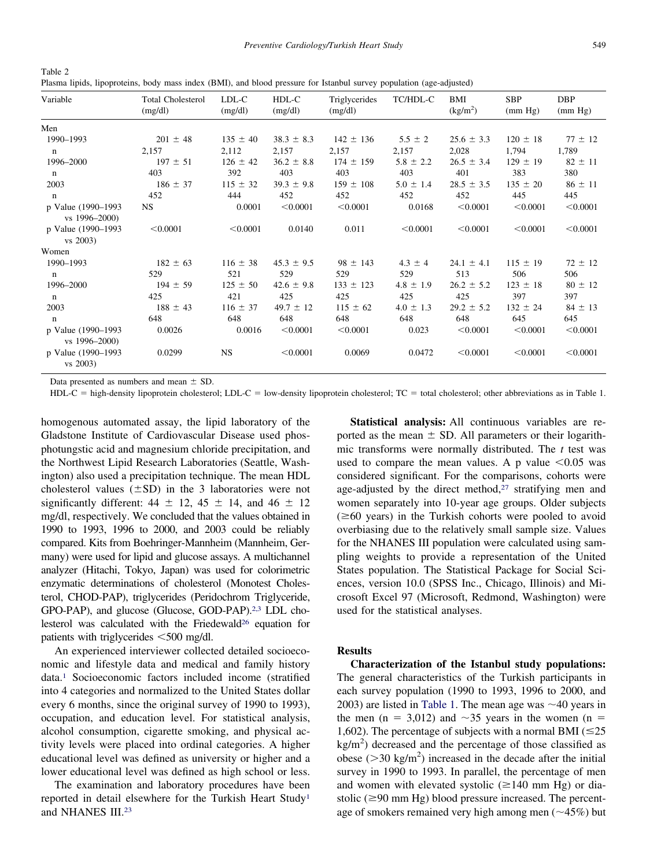| ×<br>v | I<br>۰.<br>٠ |
|--------|--------------|

<span id="page-2-0"></span>Table 2 Plasma lipids, lipoproteins, body mass index (BMI), and blood pressure for Istanbul survey population (age-adjusted)

| Variable                            | <b>Total Cholesterol</b><br>(mg/dl) | LDL-C<br>(mg/dl) | HDL-C<br>(mg/dl) | Triglycerides<br>(mg/dl) | TC/HDL-C      | BMI<br>(kg/m <sup>2</sup> ) | <b>SBP</b><br>(mm Hg) | <b>DBP</b><br>(mm Hg) |
|-------------------------------------|-------------------------------------|------------------|------------------|--------------------------|---------------|-----------------------------|-----------------------|-----------------------|
| Men                                 |                                     |                  |                  |                          |               |                             |                       |                       |
| 1990-1993                           | $201 \pm 48$                        | $135 \pm 40$     | $38.3 \pm 8.3$   | $142 \pm 136$            | $5.5 \pm 2$   | $25.6 \pm 3.3$              | $120 \pm 18$          | $77 \pm 12$           |
| $\mathbf n$                         | 2,157                               | 2,112            | 2,157            | 2,157                    | 2,157         | 2,028                       | 1,794                 | 1,789                 |
| 1996-2000                           | $197 \pm 51$                        | $126 \pm 42$     | $36.2 \pm 8.8$   | $174 \pm 159$            | $5.8 \pm 2.2$ | $26.5 \pm 3.4$              | $129 \pm 19$          | $82 \pm 11$           |
| $\mathbf n$                         | 403                                 | 392              | 403              | 403                      | 403           | 401                         | 383                   | 380                   |
| 2003                                | $186 \pm 37$                        | $115 \pm 32$     | $39.3 \pm 9.8$   | $159 \pm 108$            | $5.0 \pm 1.4$ | $28.5 \pm 3.5$              | $135 \pm 20$          | $86 \pm 11$           |
| $\mathbf n$                         | 452                                 | 444              | 452              | 452                      | 452           | 452                         | 445                   | 445                   |
| p Value (1990-1993<br>vs 1996–2000) | <b>NS</b>                           | 0.0001           | < 0.0001         | < 0.0001                 | 0.0168        | < 0.0001                    | < 0.0001              | < 0.0001              |
| p Value (1990-1993<br>vs 2003)      | < 0.0001                            | < 0.0001         | 0.0140           | 0.011                    | < 0.0001      | < 0.0001                    | < 0.0001              | < 0.0001              |
| Women                               |                                     |                  |                  |                          |               |                             |                       |                       |
| 1990-1993                           | $182 \pm 63$                        | $116 \pm 38$     | $45.3 \pm 9.5$   | $98 \pm 143$             | $4.3 \pm 4$   | $24.1 \pm 4.1$              | $115 \pm 19$          | $72 \pm 12$           |
| $\mathbf n$                         | 529                                 | 521              | 529              | 529                      | 529           | 513                         | 506                   | 506                   |
| 1996-2000                           | $194 \pm 59$                        | $125 \pm 50$     | $42.6 \pm 9.8$   | $133 \pm 123$            | $4.8 \pm 1.9$ | $26.2 \pm 5.2$              | $123 \pm 18$          | $80 \pm 12$           |
| $\mathbf n$                         | 425                                 | 421              | 425              | 425                      | 425           | 425                         | 397                   | 397                   |
| 2003                                | $188 \pm 43$                        | $116 \pm 37$     | $49.7 \pm 12$    | $115 \pm 62$             | $4.0 \pm 1.3$ | $29.2 \pm 5.2$              | $132 \pm 24$          | $84 \pm 13$           |
| $\mathbf n$                         | 648                                 | 648              | 648              | 648                      | 648           | 648                         | 645                   | 645                   |
| p Value (1990-1993<br>vs 1996–2000) | 0.0026                              | 0.0016           | < 0.0001         | < 0.0001                 | 0.023         | < 0.0001                    | < 0.0001              | < 0.0001              |
| p Value (1990–1993<br>vs 2003)      | 0.0299                              | <b>NS</b>        | < 0.0001         | 0.0069                   | 0.0472        | < 0.0001                    | < 0.0001              | < 0.0001              |

Data presented as numbers and mean  $\pm$  SD.

 $HDL-C$  = high-density lipoprotein cholesterol; LDL-C = low-density lipoprotein cholesterol; TC = total cholesterol; other abbreviations as in Table 1.

homogenous automated assay, the lipid laboratory of the Gladstone Institute of Cardiovascular Disease used phosphotungstic acid and magnesium chloride precipitation, and the Northwest Lipid Research Laboratories (Seattle, Washington) also used a precipitation technique. The mean HDL cholesterol values  $(\pm SD)$  in the 3 laboratories were not significantly different:  $44 \pm 12$ ,  $45 \pm 14$ , and  $46 \pm 12$ mg/dl, respectively. We concluded that the values obtained in 1990 to 1993, 1996 to 2000, and 2003 could be reliably compared. Kits from Boehringer-Mannheim (Mannheim, Germany) were used for lipid and glucose assays. A multichannel analyzer (Hitachi, Tokyo, Japan) was used for colorimetric enzymatic determinations of cholesterol (Monotest Cholesterol, CHOD-PAP), triglycerides (Peridochrom Triglyceride, GPO-PAP), and glucose (Glucose, GOD-PAP)[.2,3](#page-7-0) LDL cholesterol was calculated with the Friedewald<sup>26</sup> equation for patients with triglycerides  $\leq 500$  mg/dl.

An experienced interviewer collected detailed socioeconomic and lifestyle data and medical and family history data[.1](#page-7-0) Socioeconomic factors included income (stratified into 4 categories and normalized to the United States dollar every 6 months, since the original survey of 1990 to 1993), occupation, and education level. For statistical analysis, alcohol consumption, cigarette smoking, and physical activity levels were placed into ordinal categories. A higher educational level was defined as university or higher and a lower educational level was defined as high school or less.

The examination and laboratory procedures have been reported in detail elsewhere for the Turkish Heart Study<sup>1</sup> and NHANES III[.23](#page-7-0)

**Statistical analysis:** All continuous variables are reported as the mean  $\pm$  SD. All parameters or their logarithmic transforms were normally distributed. The *t* test was used to compare the mean values. A p value  $\leq 0.05$  was considered significant. For the comparisons, cohorts were age-adjusted by the direct method,<sup>27</sup> stratifying men and women separately into 10-year age groups. Older subjects  $(\geq 60$  years) in the Turkish cohorts were pooled to avoid overbiasing due to the relatively small sample size. Values for the NHANES III population were calculated using sampling weights to provide a representation of the United States population. The Statistical Package for Social Sciences, version 10.0 (SPSS Inc., Chicago, Illinois) and Microsoft Excel 97 (Microsoft, Redmond, Washington) were used for the statistical analyses.

## **Results**

**Characterization of the Istanbul study populations:** The general characteristics of the Turkish participants in each survey population (1990 to 1993, 1996 to 2000, and 2003) are listed in [Table 1.](#page-1-0) The mean age was  $\sim$ 40 years in the men (n = 3,012) and  $\sim$ 35 years in the women (n = 1,602). The percentage of subjects with a normal BMI  $(\leq 25)$  $\text{kg/m}^2$ ) decreased and the percentage of those classified as obese ( $>$ 30 kg/m<sup>2</sup>) increased in the decade after the initial survey in 1990 to 1993. In parallel, the percentage of men and women with elevated systolic  $(\geq 140 \text{ mm Hg})$  or diastolic ( $\geq$ 90 mm Hg) blood pressure increased. The percentage of smokers remained very high among men  $(\sim 45\%)$  but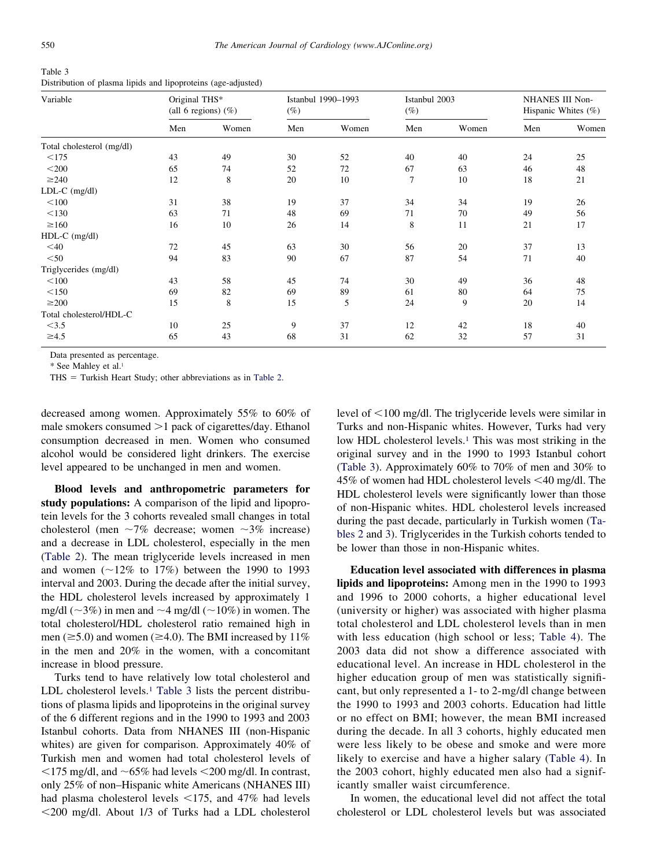| Table 3                                                       |
|---------------------------------------------------------------|
| Distribution of plasma lipids and lipoproteins (age-adjusted) |

| Variable                  | Original THS* | (all 6 regions) $(\%)$ | $(\%)$ | Istanbul 1990-1993 | Istanbul 2003<br>$(\%)$ |       | NHANES III Non-<br>Hispanic Whites $(\%)$ |       |
|---------------------------|---------------|------------------------|--------|--------------------|-------------------------|-------|-------------------------------------------|-------|
|                           | Men           | Women                  | Men    | Women              | Men                     | Women | Men                                       | Women |
| Total cholesterol (mg/dl) |               |                        |        |                    |                         |       |                                           |       |
| <175                      | 43            | 49                     | 30     | 52                 | 40                      | 40    | 24                                        | 25    |
| $<$ 200                   | 65            | 74                     | 52     | 72                 | 67                      | 63    | 46                                        | 48    |
| $\geq$ 240                | 12            | 8                      | 20     | 10                 | 7                       | 10    | 18                                        | 21    |
| $LDL-C$ (mg/dl)           |               |                        |        |                    |                         |       |                                           |       |
| < 100                     | 31            | 38                     | 19     | 37                 | 34                      | 34    | 19                                        | 26    |
| < 130                     | 63            | 71                     | 48     | 69                 | 71                      | 70    | 49                                        | 56    |
| $\geq 160$                | 16            | 10                     | 26     | 14                 | 8                       | 11    | 21                                        | 17    |
| HDL-C (mg/dl)             |               |                        |        |                    |                         |       |                                           |       |
| $<$ 40                    | 72            | 45                     | 63     | 30                 | 56                      | 20    | 37                                        | 13    |
| $<$ 50                    | 94            | 83                     | 90     | 67                 | 87                      | 54    | 71                                        | 40    |
| Triglycerides (mg/dl)     |               |                        |        |                    |                         |       |                                           |       |
| < 100                     | 43            | 58                     | 45     | 74                 | 30                      | 49    | 36                                        | 48    |
| < 150                     | 69            | 82                     | 69     | 89                 | 61                      | 80    | 64                                        | 75    |
| $\geq$ 200                | 15            | 8                      | 15     | 5                  | 24                      | 9     | 20                                        | 14    |
| Total cholesterol/HDL-C   |               |                        |        |                    |                         |       |                                           |       |
| <3.5                      | 10            | 25                     | 9      | 37                 | 12                      | 42    | 18                                        | 40    |
| $\geq 4.5$                | 65            | 43                     | 68     | 31                 | 62                      | 32    | 57                                        | 31    |

Data presented as percentage.

\* See Mahley et al[.1](#page-7-0)

 $THS = Turkish Heart Study; other abbreviations as in Table 2.$  $THS = Turkish Heart Study; other abbreviations as in Table 2.$ 

decreased among women. Approximately 55% to 60% of male smokers consumed >1 pack of cigarettes/day. Ethanol consumption decreased in men. Women who consumed alcohol would be considered light drinkers. The exercise level appeared to be unchanged in men and women.

**Blood levels and anthropometric parameters for study populations:** A comparison of the lipid and lipoprotein levels for the 3 cohorts revealed small changes in total cholesterol (men  $\sim$ 7% decrease; women  $\sim$ 3% increase) and a decrease in LDL cholesterol, especially in the men [\(Table 2\)](#page-2-0). The mean triglyceride levels increased in men and women  $(\sim 12\%$  to 17%) between the 1990 to 1993 interval and 2003. During the decade after the initial survey, the HDL cholesterol levels increased by approximately 1 mg/dl ( $\sim$ 3%) in men and  $\sim$ 4 mg/dl ( $\sim$ 10%) in women. The total cholesterol/HDL cholesterol ratio remained high in men ( $\geq$ 5.0) and women ( $\geq$ 4.0). The BMI increased by 11% in the men and 20% in the women, with a concomitant increase in blood pressure.

Turks tend to have relatively low total cholesterol and LDL cholesterol levels.<sup>1</sup> Table 3 lists the percent distributions of plasma lipids and lipoproteins in the original survey of the 6 different regions and in the 1990 to 1993 and 2003 Istanbul cohorts. Data from NHANES III (non-Hispanic whites) are given for comparison. Approximately 40% of Turkish men and women had total cholesterol levels of  $175 \text{ mg/dl}$ , and  $-65\%$  had levels  $1200 \text{ mg/dl}$ . In contrast, only 25% of non–Hispanic white Americans (NHANES III) had plasma cholesterol levels  $\leq$ 175, and 47% had levels 200 mg/dl. About 1/3 of Turks had a LDL cholesterol

level of  $\leq 100$  mg/dl. The triglyceride levels were similar in Turks and non-Hispanic whites. However, Turks had very low HDL cholesterol levels.<sup>1</sup> This was most striking in the original survey and in the 1990 to 1993 Istanbul cohort (Table 3). Approximately 60% to 70% of men and 30% to 45% of women had HDL cholesterol levels  $\leq$ 40 mg/dl. The HDL cholesterol levels were significantly lower than those of non-Hispanic whites. HDL cholesterol levels increased during the past decade, particularly in Turkish women [\(Ta](#page-2-0)[bles 2](#page-2-0) and 3). Triglycerides in the Turkish cohorts tended to be lower than those in non-Hispanic whites.

**Education level associated with differences in plasma lipids and lipoproteins:** Among men in the 1990 to 1993 and 1996 to 2000 cohorts, a higher educational level (university or higher) was associated with higher plasma total cholesterol and LDL cholesterol levels than in men with less education (high school or less; [Table 4\)](#page-4-0). The 2003 data did not show a difference associated with educational level. An increase in HDL cholesterol in the higher education group of men was statistically significant, but only represented a 1- to 2-mg/dl change between the 1990 to 1993 and 2003 cohorts. Education had little or no effect on BMI; however, the mean BMI increased during the decade. In all 3 cohorts, highly educated men were less likely to be obese and smoke and were more likely to exercise and have a higher salary [\(Table 4\)](#page-4-0). In the 2003 cohort, highly educated men also had a significantly smaller waist circumference.

In women, the educational level did not affect the total cholesterol or LDL cholesterol levels but was associated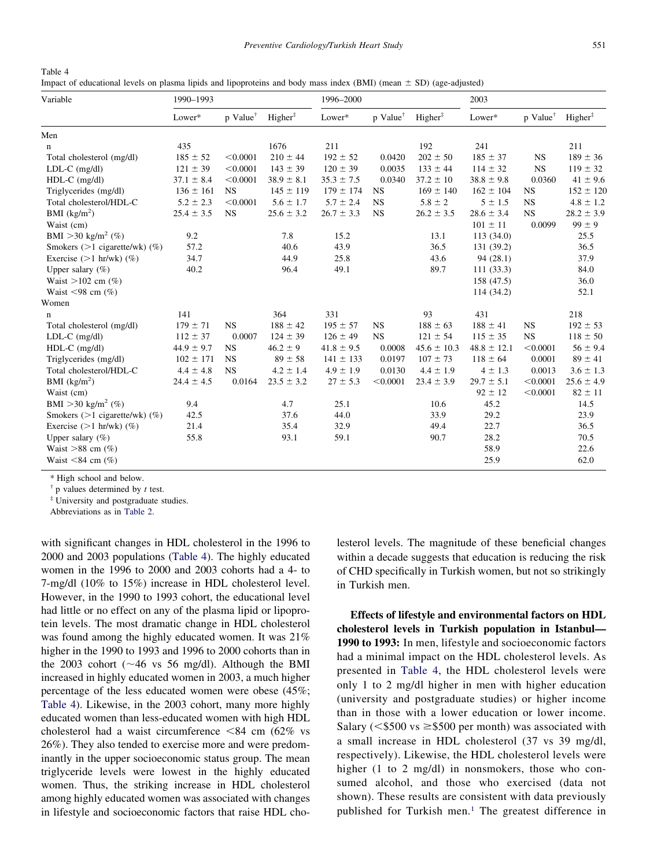<span id="page-4-0"></span>

| Variable                           | 1990-1993      |                      |                     | 1996-2000      |                      |                     | 2003            |                      |                     |
|------------------------------------|----------------|----------------------|---------------------|----------------|----------------------|---------------------|-----------------|----------------------|---------------------|
|                                    | Lower*         | p Value <sup>†</sup> | Higher <sup>‡</sup> | Lower*         | p Value <sup>†</sup> | Higher <sup>‡</sup> | Lower*          | p Value <sup>†</sup> | $Higher^{\ddagger}$ |
| Men                                |                |                      |                     |                |                      |                     |                 |                      |                     |
| $\mathbf n$                        | 435            |                      | 1676                | 211            |                      | 192                 | 241             |                      | 211                 |
| Total cholesterol (mg/dl)          | $185 \pm 52$   | < 0.0001             | $210 \pm 44$        | $192 \pm 52$   | 0.0420               | $202 \pm 50$        | $185 \pm 37$    | <b>NS</b>            | $189 \pm 36$        |
| $LDL-C$ (mg/dl)                    | $121 \pm 39$   | < 0.0001             | $143 \pm 39$        | $120 \pm 39$   | 0.0035               | $133 \pm 44$        | $114 \pm 32$    | <b>NS</b>            | $119 \pm 32$        |
| HDL-C (mg/dl)                      | $37.1 \pm 8.4$ | < 0.0001             | $38.9 \pm 8.1$      | $35.3 \pm 7.5$ | 0.0340               | $37.2 \pm 10$       | $38.8 \pm 9.8$  | 0.0360               | $41 \pm 9.6$        |
| Triglycerides (mg/dl)              | $136 \pm 161$  | <b>NS</b>            | $145 \pm 119$       | $179 \pm 174$  | <b>NS</b>            | $169 \pm 140$       | $162 \pm 104$   | <b>NS</b>            | $152 \pm 120$       |
| Total cholesterol/HDL-C            | $5.2 \pm 2.3$  | < 0.0001             | $5.6 \pm 1.7$       | $5.7 \pm 2.4$  | <b>NS</b>            | $5.8 \pm 2$         | $5 \pm 1.5$     | <b>NS</b>            | $4.8 \pm 1.2$       |
| BMI $(kg/m2)$                      | $25.4 \pm 3.5$ | NS                   | $25.6 \pm 3.2$      | $26.7 \pm 3.3$ | <b>NS</b>            | $26.2 \pm 3.5$      | $28.6 \pm 3.4$  | <b>NS</b>            | $28.2 \pm 3.9$      |
| Waist (cm)                         |                |                      |                     |                |                      |                     | $101 \pm 11$    | 0.0099               | $99\pm9$            |
| BMI > 30 kg/m <sup>2</sup> (%)     | 9.2            |                      | 7.8                 | 15.2           |                      | 13.1                | 113(34.0)       |                      | 25.5                |
| Smokers $(>1$ cigarette/wk $)$ (%) | 57.2           |                      | 40.6                | 43.9           |                      | 36.5                | 131 (39.2)      |                      | 36.5                |
| Exercise $(>1$ hr/wk $)$ $(\%)$    | 34.7           |                      | 44.9                | 25.8           |                      | 43.6                | 94(28.1)        |                      | 37.9                |
| Upper salary $(\% )$               | 40.2           |                      | 96.4                | 49.1           |                      | 89.7                | 111(33.3)       |                      | 84.0                |
| Waist $>102$ cm $(\%)$             |                |                      |                     |                |                      |                     | 158 (47.5)      |                      | 36.0                |
| Waist $\leq 98$ cm $(\%)$          |                |                      |                     |                |                      |                     | 114 (34.2)      |                      | 52.1                |
| Women                              |                |                      |                     |                |                      |                     |                 |                      |                     |
| n                                  | 141            |                      | 364                 | 331            |                      | 93                  | 431             |                      | 218                 |
| Total cholesterol (mg/dl)          | $179 \pm 71$   | NS                   | $188 \pm 42$        | $195 \pm 57$   | <b>NS</b>            | $188 \pm 63$        | $188 \pm 41$    | <b>NS</b>            | $192 \pm 53$        |
| $LDL-C$ (mg/dl)                    | $112 \pm 37$   | 0.0007               | $124 \pm 39$        | $126 \pm 49$   | <b>NS</b>            | $121 \pm 54$        | $115 \pm 35$    | <b>NS</b>            | $118 \pm 50$        |
| HDL-C (mg/dl)                      | $44.9 \pm 9.7$ | <b>NS</b>            | $46.2 \pm 9$        | $41.8 \pm 9.5$ | 0.0008               | $45.6 \pm 10.3$     | $48.8 \pm 12.1$ | < 0.0001             | $56 \pm 9.4$        |
| Triglycerides (mg/dl)              | $102 \pm 171$  | <b>NS</b>            | $89 \pm 58$         | $141 \pm 133$  | 0.0197               | $107 \pm 73$        | $118 \pm 64$    | 0.0001               | $89 \pm 41$         |
| Total cholesterol/HDL-C            | $4.4 \pm 4.8$  | <b>NS</b>            | $4.2 \pm 1.4$       | $4.9 \pm 1.9$  | 0.0130               | $4.4 \pm 1.9$       | $4 \pm 1.3$     | 0.0013               | $3.6 \pm 1.3$       |
| BMI $(kg/m2)$                      | $24.4 \pm 4.5$ | 0.0164               | $23.5 \pm 3.2$      | $27 \pm 5.3$   | < 0.0001             | $23.4 \pm 3.9$      | $29.7 \pm 5.1$  | < 0.0001             | $25.6 \pm 4.9$      |
| Waist (cm)                         |                |                      |                     |                |                      |                     | $92 \pm 12$     | < 0.0001             | $82 \pm 11$         |
| BMI > 30 kg/m <sup>2</sup> (%)     | 9.4            |                      | 4.7                 | 25.1           |                      | 10.6                | 45.2            |                      | 14.5                |
| Smokers $(>1$ cigarette/wk $)$ (%) | 42.5           |                      | 37.6                | 44.0           |                      | 33.9                | 29.2            |                      | 23.9                |
| Exercise $(>1$ hr/wk $)$ $(\%)$    | 21.4           |                      | 35.4                | 32.9           |                      | 49.4                | 22.7            |                      | 36.5                |
| Upper salary $(\% )$               | 55.8           |                      | 93.1                | 59.1           |                      | 90.7                | 28.2            |                      | 70.5                |
| Waist $>88$ cm $(\%)$              |                |                      |                     |                |                      |                     | 58.9            |                      | 22.6                |
| Waist $\leq 84$ cm $(\%)$          |                |                      |                     |                |                      |                     | 25.9            |                      | 62.0                |

\* High school and below.

† p values determined by *t* test.

‡ University and postgraduate studies.

Abbreviations as in [Table 2.](#page-2-0)

with significant changes in HDL cholesterol in the 1996 to 2000 and 2003 populations (Table 4). The highly educated women in the 1996 to 2000 and 2003 cohorts had a 4- to 7-mg/dl (10% to 15%) increase in HDL cholesterol level. However, in the 1990 to 1993 cohort, the educational level had little or no effect on any of the plasma lipid or lipoprotein levels. The most dramatic change in HDL cholesterol was found among the highly educated women. It was 21% higher in the 1990 to 1993 and 1996 to 2000 cohorts than in the 2003 cohort ( $\sim$ 46 vs 56 mg/dl). Although the BMI increased in highly educated women in 2003, a much higher percentage of the less educated women were obese (45%; Table 4). Likewise, in the 2003 cohort, many more highly educated women than less-educated women with high HDL cholesterol had a waist circumference  $\leq 84$  cm (62% vs 26%). They also tended to exercise more and were predominantly in the upper socioeconomic status group. The mean triglyceride levels were lowest in the highly educated women. Thus, the striking increase in HDL cholesterol among highly educated women was associated with changes in lifestyle and socioeconomic factors that raise HDL cho-

lesterol levels. The magnitude of these beneficial changes within a decade suggests that education is reducing the risk of CHD specifically in Turkish women, but not so strikingly in Turkish men.

**Effects of lifestyle and environmental factors on HDL cholesterol levels in Turkish population in Istanbul— 1990 to 1993:** In men, lifestyle and socioeconomic factors had a minimal impact on the HDL cholesterol levels. As presented in Table 4, the HDL cholesterol levels were only 1 to 2 mg/dl higher in men with higher education (university and postgraduate studies) or higher income than in those with a lower education or lower income. Salary ( $\leq$ \$500 vs  $\geq$ \$500 per month) was associated with a small increase in HDL cholesterol (37 vs 39 mg/dl, respectively). Likewise, the HDL cholesterol levels were higher (1 to 2 mg/dl) in nonsmokers, those who consumed alcohol, and those who exercised (data not shown). These results are consistent with data previously published for Turkish men.<sup>1</sup> The greatest difference in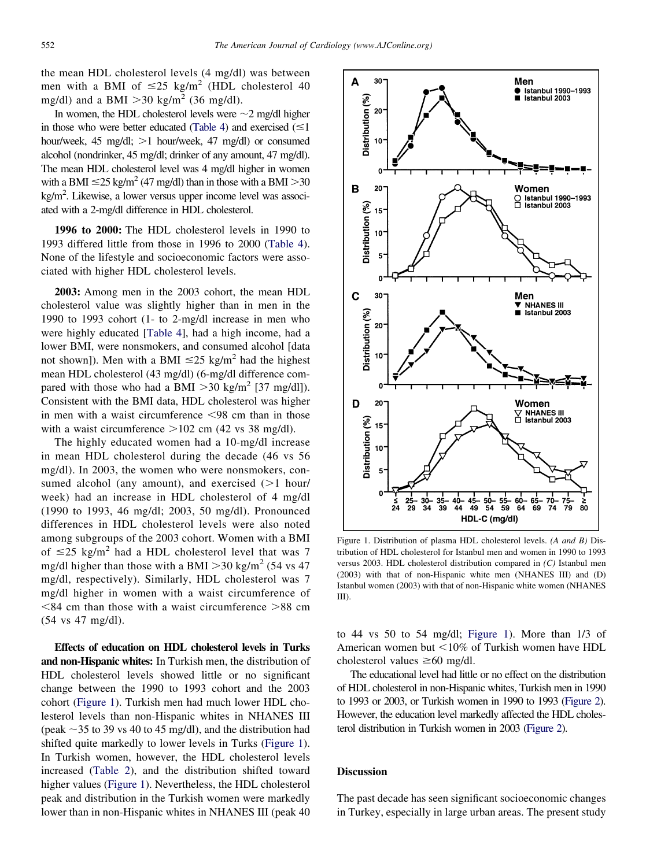the mean HDL cholesterol levels (4 mg/dl) was between men with a BMI of  $\leq 25$  kg/m<sup>2</sup> (HDL cholesterol 40 mg/dl) and a BMI  $>$  30 kg/m<sup>2</sup> (36 mg/dl).

In women, the HDL cholesterol levels were  $\sim$ 2 mg/dl higher in those who were better educated [\(Table 4\)](#page-4-0) and exercised  $(\leq 1)$ hour/week, 45 mg/dl; >1 hour/week, 47 mg/dl) or consumed alcohol (nondrinker, 45 mg/dl; drinker of any amount, 47 mg/dl). The mean HDL cholesterol level was 4 mg/dl higher in women with a BMI  $\leq$ 25 kg/m<sup>2</sup> (47 mg/dl) than in those with a BMI  $>$ 30 kg/m2 . Likewise, a lower versus upper income level was associated with a 2-mg/dl difference in HDL cholesterol.

**1996 to 2000:** The HDL cholesterol levels in 1990 to 1993 differed little from those in 1996 to 2000 [\(Table 4\)](#page-4-0). None of the lifestyle and socioeconomic factors were associated with higher HDL cholesterol levels.

**2003:** Among men in the 2003 cohort, the mean HDL cholesterol value was slightly higher than in men in the 1990 to 1993 cohort (1- to 2-mg/dl increase in men who were highly educated [\[Table 4\]](#page-4-0), had a high income, had a lower BMI, were nonsmokers, and consumed alcohol [data not shown]). Men with a BMI  $\leq$ 25 kg/m<sup>2</sup> had the highest mean HDL cholesterol (43 mg/dl) (6-mg/dl difference compared with those who had a BMI  $>$  30 kg/m<sup>2</sup> [37 mg/dl]). Consistent with the BMI data, HDL cholesterol was higher in men with a waist circumference  $\leq 98$  cm than in those with a waist circumference  $>102$  cm (42 vs 38 mg/dl).

The highly educated women had a 10-mg/dl increase in mean HDL cholesterol during the decade (46 vs 56 mg/dl). In 2003, the women who were nonsmokers, consumed alcohol (any amount), and exercised  $(>1$  hour/ week) had an increase in HDL cholesterol of 4 mg/dl (1990 to 1993, 46 mg/dl; 2003, 50 mg/dl). Pronounced differences in HDL cholesterol levels were also noted among subgroups of the 2003 cohort. Women with a BMI of  $\leq$ 25 kg/m<sup>2</sup> had a HDL cholesterol level that was 7 mg/dl higher than those with a BMI  $>$  30 kg/m<sup>2</sup> (54 vs 47) mg/dl, respectively). Similarly, HDL cholesterol was 7 mg/dl higher in women with a waist circumference of  $<84$  cm than those with a waist circumference  $>88$  cm (54 vs 47 mg/dl).

**Effects of education on HDL cholesterol levels in Turks and non-Hispanic whites:** In Turkish men, the distribution of HDL cholesterol levels showed little or no significant change between the 1990 to 1993 cohort and the 2003 cohort (Figure 1). Turkish men had much lower HDL cholesterol levels than non-Hispanic whites in NHANES III (peak  $\sim$  35 to 39 vs 40 to 45 mg/dl), and the distribution had shifted quite markedly to lower levels in Turks (Figure 1). In Turkish women, however, the HDL cholesterol levels increased [\(Table 2\)](#page-2-0), and the distribution shifted toward higher values (Figure 1). Nevertheless, the HDL cholesterol peak and distribution in the Turkish women were markedly lower than in non-Hispanic whites in NHANES III (peak 40



Figure 1. Distribution of plasma HDL cholesterol levels. *(A and B)* Distribution of HDL cholesterol for Istanbul men and women in 1990 to 1993 versus 2003. HDL cholesterol distribution compared in *(C)* Istanbul men (2003) with that of non-Hispanic white men (NHANES III) and (D) Istanbul women (2003) with that of non-Hispanic white women (NHANES III).

to 44 vs 50 to 54 mg/dl; Figure 1). More than 1/3 of American women but  $\leq 10\%$  of Turkish women have HDL cholesterol values  $\geq 60$  mg/dl.

The educational level had little or no effect on the distribution of HDL cholesterol in non-Hispanic whites, Turkish men in 1990 to 1993 or 2003, or Turkish women in 1990 to 1993 [\(Figure 2\)](#page-6-0). However, the education level markedly affected the HDL cholesterol distribution in Turkish women in 2003 [\(Figure 2\)](#page-6-0).

## **Discussion**

The past decade has seen significant socioeconomic changes in Turkey, especially in large urban areas. The present study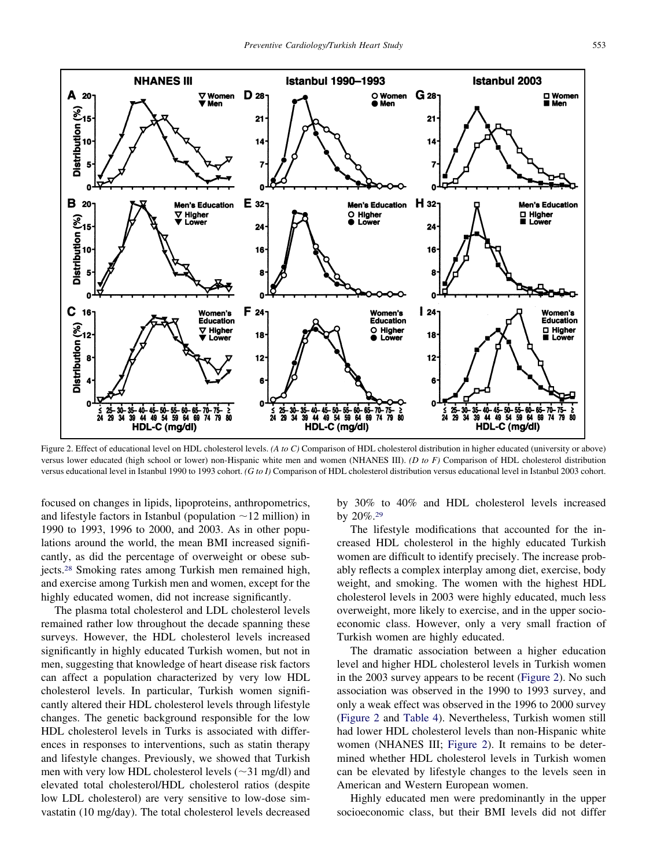<span id="page-6-0"></span>

Figure 2. Effect of educational level on HDL cholesterol levels. *(A to C)* Comparison of HDL cholesterol distribution in higher educated (university or above) versus lower educated (high school or lower) non-Hispanic white men and women (NHANES III). *(D to F)* Comparison of HDL cholesterol distribution versus educational level in Istanbul 1990 to 1993 cohort. *(G to I)* Comparison of HDL cholesterol distribution versus educational level in Istanbul 2003 cohort.

focused on changes in lipids, lipoproteins, anthropometrics, and lifestyle factors in Istanbul (population  $\sim$  12 million) in 1990 to 1993, 1996 to 2000, and 2003. As in other populations around the world, the mean BMI increased significantly, as did the percentage of overweight or obese subjects[.28](#page-8-0) Smoking rates among Turkish men remained high, and exercise among Turkish men and women, except for the highly educated women, did not increase significantly.

The plasma total cholesterol and LDL cholesterol levels remained rather low throughout the decade spanning these surveys. However, the HDL cholesterol levels increased significantly in highly educated Turkish women, but not in men, suggesting that knowledge of heart disease risk factors can affect a population characterized by very low HDL cholesterol levels. In particular, Turkish women significantly altered their HDL cholesterol levels through lifestyle changes. The genetic background responsible for the low HDL cholesterol levels in Turks is associated with differences in responses to interventions, such as statin therapy and lifestyle changes. Previously, we showed that Turkish men with very low HDL cholesterol levels ( $\sim$ 31 mg/dl) and elevated total cholesterol/HDL cholesterol ratios (despite low LDL cholesterol) are very sensitive to low-dose simvastatin (10 mg/day). The total cholesterol levels decreased

by 30% to 40% and HDL cholesterol levels increased by 20%[.29](#page-8-0)

The lifestyle modifications that accounted for the increased HDL cholesterol in the highly educated Turkish women are difficult to identify precisely. The increase probably reflects a complex interplay among diet, exercise, body weight, and smoking. The women with the highest HDL cholesterol levels in 2003 were highly educated, much less overweight, more likely to exercise, and in the upper socioeconomic class. However, only a very small fraction of Turkish women are highly educated.

The dramatic association between a higher education level and higher HDL cholesterol levels in Turkish women in the 2003 survey appears to be recent (Figure 2). No such association was observed in the 1990 to 1993 survey, and only a weak effect was observed in the 1996 to 2000 survey (Figure 2 and [Table 4\)](#page-4-0). Nevertheless, Turkish women still had lower HDL cholesterol levels than non-Hispanic white women (NHANES III; Figure 2). It remains to be determined whether HDL cholesterol levels in Turkish women can be elevated by lifestyle changes to the levels seen in American and Western European women.

Highly educated men were predominantly in the upper socioeconomic class, but their BMI levels did not differ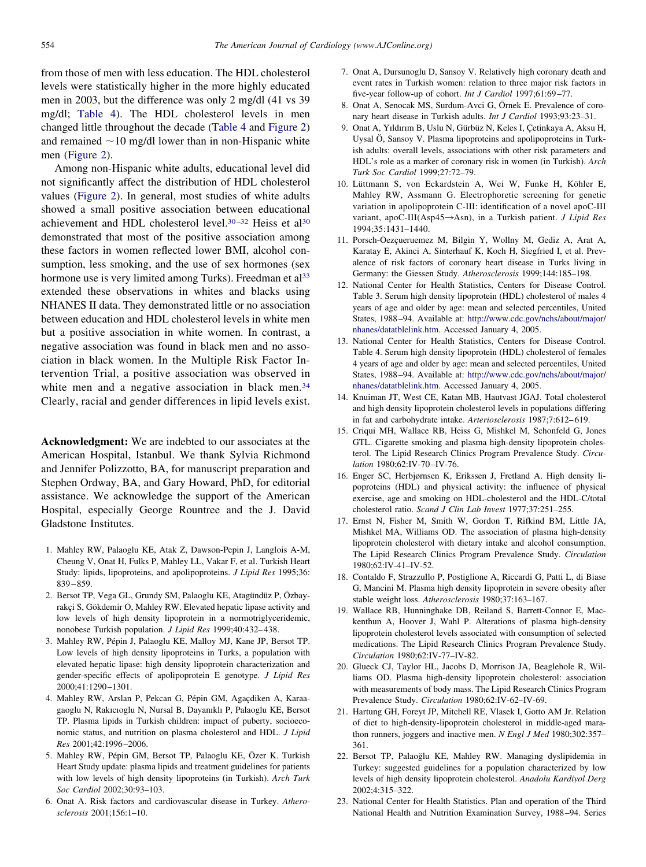<span id="page-7-0"></span>from those of men with less education. The HDL cholesterol levels were statistically higher in the more highly educated men in 2003, but the difference was only 2 mg/dl (41 vs 39 mg/dl; [Table 4\)](#page-4-0). The HDL cholesterol levels in men changed little throughout the decade [\(Table 4](#page-4-0) and [Figure 2\)](#page-6-0) and remained  $\sim$ 10 mg/dl lower than in non-Hispanic white men [\(Figure 2\)](#page-6-0).

Among non-Hispanic white adults, educational level did not significantly affect the distribution of HDL cholesterol values [\(Figure 2\)](#page-6-0). In general, most studies of white adults showed a small positive association between educational achievement and HDL cholesterol level.<sup>30-32</sup> Heiss et al<sup>30</sup> demonstrated that most of the positive association among these factors in women reflected lower BMI, alcohol consumption, less smoking, and the use of sex hormones (sex hormone use is very limited among Turks). Freedman et al<sup>33</sup> extended these observations in whites and blacks using NHANES II data. They demonstrated little or no association between education and HDL cholesterol levels in white men but a positive association in white women. In contrast, a negative association was found in black men and no association in black women. In the Multiple Risk Factor Intervention Trial, a positive association was observed in white men and a negative association in black men.<sup>34</sup> Clearly, racial and gender differences in lipid levels exist.

**Acknowledgment:** We are indebted to our associates at the American Hospital, Istanbul. We thank Sylvia Richmond and Jennifer Polizzotto, BA, for manuscript preparation and Stephen Ordway, BA, and Gary Howard, PhD, for editorial assistance. We acknowledge the support of the American Hospital, especially George Rountree and the J. David Gladstone Institutes.

- 1. Mahley RW, Palaoglu KE, Atak Z, Dawson-Pepin J, Langlois A-M, Cheung V, Onat H, Fulks P, Mahley LL, Vakar F, et al. Turkish Heart Study: lipids, lipoproteins, and apolipoproteins. *J Lipid Res* 1995;36: 839–859.
- 2. Bersot TP, Vega GL, Grundy SM, Palaoglu KE, Atagündüz P, Özbayrakçi S, Gökdemir O, Mahley RW. Elevated hepatic lipase activity and low levels of high density lipoprotein in a normotriglyceridemic, nonobese Turkish population. *J Lipid Res* 1999;40:432–438.
- 3. Mahley RW, Pépin J, Palaoglu KE, Malloy MJ, Kane JP, Bersot TP. Low levels of high density lipoproteins in Turks, a population with elevated hepatic lipase: high density lipoprotein characterization and gender-specific effects of apolipoprotein E genotype. *J Lipid Res* 2000;41:1290–1301.
- 4. Mahley RW, Arslan P, Pekcan G, Pépin GM, Agaçdiken A, Karaagaoglu N, Rakıcıoglu N, Nursal B, Dayanıklı P, Palaoglu KE, Bersot TP. Plasma lipids in Turkish children: impact of puberty, socioeconomic status, and nutrition on plasma cholesterol and HDL. *J Lipid Res* 2001;42:1996–2006.
- 5. Mahley RW, Pépin GM, Bersot TP, Palaoglu KE, Özer K. Turkish Heart Study update: plasma lipids and treatment guidelines for patients with low levels of high density lipoproteins (in Turkish). *Arch Turk Soc Cardiol* 2002;30:93–103.
- 6. Onat A. Risk factors and cardiovascular disease in Turkey. *Atherosclerosis* 2001;156:1–10.
- 7. Onat A, Dursunoglu D, Sansoy V. Relatively high coronary death and event rates in Turkish women: relation to three major risk factors in five-year follow-up of cohort. *Int J Cardiol* 1997;61:69–77.
- 8. Onat A, Senocak MS, Surdum-Avci G, Örnek E. Prevalence of coronary heart disease in Turkish adults. *Int J Cardiol* 1993;93:23–31.
- 9. Onat A, Yıldırım B, Uslu N, Gürbüz N, Keles I, Çetinkaya A, Aksu H, Uysal Ö, Sansoy V. Plasma lipoproteins and apolipoproteins in Turkish adults: overall levels, associations with other risk parameters and HDL's role as a marker of coronary risk in women (in Turkish). *Arch Turk Soc Cardiol* 1999;27:72–79.
- 10. Lüttmann S, von Eckardstein A, Wei W, Funke H, Köhler E, Mahley RW, Assmann G. Electrophoretic screening for genetic variation in apolipoprotein C-III: identification of a novel apoC-III variant, apoC-III(Asp45->Asn), in a Turkish patient. *J Lipid Res* 1994;35:1431–1440.
- 11. Porsch-Oezçueruemez M, Bilgin Y, Wollny M, Gediz A, Arat A, Karatay E, Akinci A, Sinterhauf K, Koch H, Siegfried I, et al. Prevalence of risk factors of coronary heart disease in Turks living in Germany: the Giessen Study. *Atherosclerosis* 1999;144:185–198.
- 12. National Center for Health Statistics, Centers for Disease Control. Table 3. Serum high density lipoprotein (HDL) cholesterol of males 4 years of age and older by age: mean and selected percentiles, United States, 1988–94. Available at: [http://www.cdc.gov/nchs/about/major/](http://www.cdc.gov/nchs/about/major/nhanes/datatblelink.htm) [nhanes/datatblelink.htm.](http://www.cdc.gov/nchs/about/major/nhanes/datatblelink.htm) Accessed January 4, 2005.
- 13. National Center for Health Statistics, Centers for Disease Control. Table 4. Serum high density lipoprotein (HDL) cholesterol of females 4 years of age and older by age: mean and selected percentiles, United States, 1988–94. Available at: [http://www.cdc.gov/nchs/about/major/](http://www.cdc.gov/nchs/about/major/nhanes/datatblelink.htm.) [nhanes/datatblelink.htm.](http://www.cdc.gov/nchs/about/major/nhanes/datatblelink.htm.) Accessed January 4, 2005.
- 14. Knuiman JT, West CE, Katan MB, Hautvast JGAJ. Total cholesterol and high density lipoprotein cholesterol levels in populations differing in fat and carbohydrate intake. *Arteriosclerosis* 1987;7:612–619.
- 15. Criqui MH, Wallace RB, Heiss G, Mishkel M, Schonfeld G, Jones GTL. Cigarette smoking and plasma high-density lipoprotein cholesterol. The Lipid Research Clinics Program Prevalence Study. *Circulation* 1980;62:IV-70–IV-76.
- 16. Enger SC, Herbjørnsen K, Erikssen J, Fretland A. High density lipoproteins (HDL) and physical activity: the influence of physical exercise, age and smoking on HDL-cholesterol and the HDL-C/total cholesterol ratio. *Scand J Clin Lab Invest* 1977;37:251–255.
- 17. Ernst N, Fisher M, Smith W, Gordon T, Rifkind BM, Little JA, Mishkel MA, Williams OD. The association of plasma high-density lipoprotein cholesterol with dietary intake and alcohol consumption. The Lipid Research Clinics Program Prevalence Study. *Circulation* 1980;62:IV-41–IV-52.
- 18. Contaldo F, Strazzullo P, Postiglione A, Riccardi G, Patti L, di Biase G, Mancini M. Plasma high density lipoprotein in severe obesity after stable weight loss. *Atherosclerosis* 1980;37:163–167.
- 19. Wallace RB, Hunninghake DB, Reiland S, Barrett-Connor E, Mackenthun A, Hoover J, Wahl P. Alterations of plasma high-density lipoprotein cholesterol levels associated with consumption of selected medications. The Lipid Research Clinics Program Prevalence Study. *Circulation* 1980;62:IV-77–IV-82.
- 20. Glueck CJ, Taylor HL, Jacobs D, Morrison JA, Beaglehole R, Williams OD. Plasma high-density lipoprotein cholesterol: association with measurements of body mass. The Lipid Research Clinics Program Prevalence Study. *Circulation* 1980;62:IV-62–IV-69.
- 21. Hartung GH, Foreyt JP, Mitchell RE, Vlasek I, Gotto AM Jr. Relation of diet to high-density-lipoprotein cholesterol in middle-aged marathon runners, joggers and inactive men. *N Engl J Med* 1980;302:357– 361.
- 22. Bersot TP, Palaoğlu KE, Mahley RW. Managing dyslipidemia in Turkey: suggested guidelines for a population characterized by low levels of high density lipoprotein cholesterol. *Anadolu Kardiyol Derg* 2002;4:315–322.
- 23. National Center for Health Statistics. Plan and operation of the Third National Health and Nutrition Examination Survey, 1988–94. Series